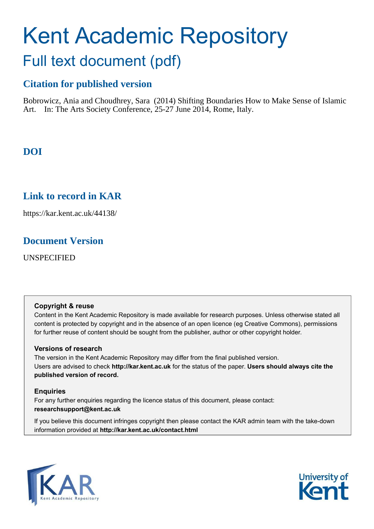# Kent Academic Repository Full text document (pdf)

# **Citation for published version**

Bobrowicz, Ania and Choudhrey, Sara (2014) Shifting Boundaries How to Make Sense of Islamic Art. In: The Arts Society Conference, 25-27 June 2014, Rome, Italy.

# **DOI**

## **Link to record in KAR**

https://kar.kent.ac.uk/44138/

## **Document Version**

UNSPECIFIED

### **Copyright & reuse**

Content in the Kent Academic Repository is made available for research purposes. Unless otherwise stated all content is protected by copyright and in the absence of an open licence (eg Creative Commons), permissions for further reuse of content should be sought from the publisher, author or other copyright holder.

## **Versions of research**

The version in the Kent Academic Repository may differ from the final published version. Users are advised to check **http://kar.kent.ac.uk** for the status of the paper. **Users should always cite the published version of record.**

## **Enquiries**

For any further enquiries regarding the licence status of this document, please contact: **researchsupport@kent.ac.uk**

If you believe this document infringes copyright then please contact the KAR admin team with the take-down information provided at **http://kar.kent.ac.uk/contact.html**



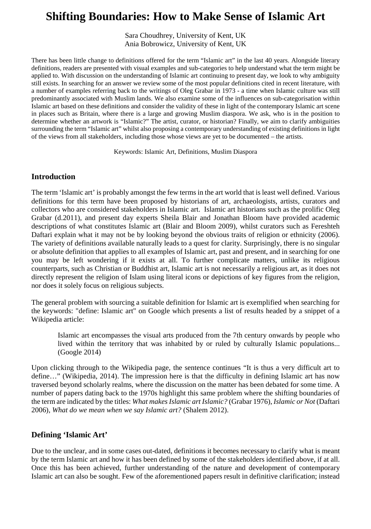## **Shifting Boundaries: How to Make Sense of Islamic Art**

Sara Choudhrey, University of Kent, UK Ania Bobrowicz, University of Kent, UK

There has been little change to definitions offered for the term "Islamic art" in the last 40 years. Alongside literary definitions, readers are presented with visual examples and sub-categories to help understand what the term might be applied to. With discussion on the understanding of Islamic art continuing to present day, we look to why ambiguity still exists. In searching for an answer we review some of the most popular definitions cited in recent literature, with a number of examples referring back to the writings of Oleg Grabar in 1973 - a time when Islamic culture was still predominantly associated with Muslim lands. We also examine some of the influences on sub-categorisation within Islamic art based on these definitions and consider the validity of these in light of the contemporary Islamic art scene in places such as Britain, where there is a large and growing Muslim diaspora. We ask, who is in the position to determine whether an artwork is "Islamic?" The artist, curator, or historian? Finally, we aim to clarify ambiguities surrounding the term "Islamic art" whilst also proposing a contemporary understanding of existing definitions in light of the views from all stakeholders, including those whose views are yet to be documented – the artists.

Keywords: Islamic Art, Definitions, Muslim Diaspora

#### **Introduction**

The term 'Islamic art' is probably amongst the few terms in the art world that is least well defined. Various definitions for this term have been proposed by historians of art, archaeologists, artists, curators and collectors who are considered stakeholders in Islamic art. Islamic art historians such as the prolific Oleg Grabar (d.2011), and present day experts Sheila Blair and Jonathan Bloom have provided academic descriptions of what constitutes Islamic art (Blair and Bloom 2009), whilst curators such as Fereshteh Daftari explain what it may not be by looking beyond the obvious traits of religion or ethnicity (2006). The variety of definitions available naturally leads to a quest for clarity. Surprisingly, there is no singular or absolute definition that applies to all examples of Islamic art, past and present, and in searching for one you may be left wondering if it exists at all. To further complicate matters, unlike its religious counterparts, such as Christian or Buddhist art, Islamic art is not necessarily a religious art, as it does not directly represent the religion of Islam using literal icons or depictions of key figures from the religion, nor does it solely focus on religious subjects.

The general problem with sourcing a suitable definition for Islamic art is exemplified when searching for the keywords: "define: Islamic art" on Google which presents a list of results headed by a snippet of a Wikipedia article:

Islamic art encompasses the visual arts produced from the 7th century onwards by people who lived within the territory that was inhabited by or ruled by culturally Islamic populations... (Google 2014)

Upon clicking through to the Wikipedia page, the sentence continues "It is thus a very difficult art to define…" (Wikipedia, 2014). The impression here is that the difficulty in defining Islamic art has now traversed beyond scholarly realms, where the discussion on the matter has been debated for some time. A number of papers dating back to the 1970s highlight this same problem where the shifting boundaries of the term are indicated by the titles: *What makes Islamic art Islamic?* (Grabar 1976), *Islamic or Not* (Daftari 2006), *What do we mean when we say Islamic art?* (Shalem 2012).

#### **Defining 'Islamic Art'**

<span id="page-1-0"></span>Due to the unclear, and in some cases out-dated, definitions it becomes necessary to clarify what is meant by the term Islamic art and how it has been defined by some of the stakeholders identified above, if at all. Once this has been achieved, further understanding of the nature and development of contemporary Islamic art can also be sought. Few of the aforementioned papers result in definitive clarification; instead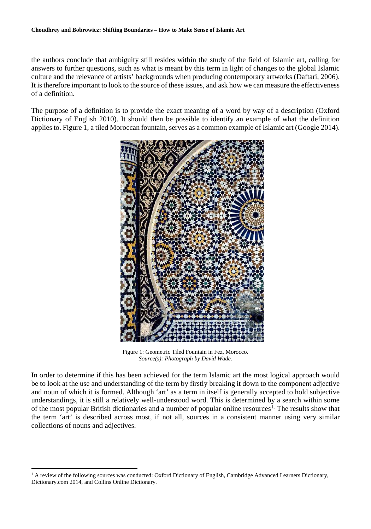the authors conclude that ambiguity still resides within the study of the field of Islamic art, calling for answers to further questions, such as what is meant by this term in light of changes to the global Islamic culture and the relevance of artists' backgrounds when producing contemporary artworks (Daftari, 2006). It is therefore important to look to the source of these issues, and ask how we can measure the effectiveness of a definition.

The purpose of a definition is to provide the exact meaning of a word by way of a description (Oxford Dictionary of English 2010). It should then be possible to identify an example of what the definition applies to. Figure 1, a tiled Moroccan fountain, serves as a common example of Islamic art (Google 2014).



Figure 1: Geometric Tiled Fountain in Fez, Morocco. *Source(s): Photograph by David Wade.*

In order to determine if this has been achieved for the term Islamic art the most logical approach would be to look at the use and understanding of the term by firstly breaking it down to the component adjective and noun of which it is formed. Although 'art' as a term in itself is generally accepted to hold subjective understandings, it is still a relatively well-understood word. This is determined by a search within some of the most popular British dictionaries and a number of popular online resources<sup>[1](#page-1-0).</sup> The results show that the term 'art' is described across most, if not all, sources in a consistent manner using very similar collections of nouns and adjectives.

<span id="page-2-0"></span><sup>&</sup>lt;sup>1</sup> A review of the following sources was conducted: Oxford Dictionary of English, Cambridge Advanced Learners Dictionary, Dictionary.com 2014, and Collins Online Dictionary.  $\overline{a}$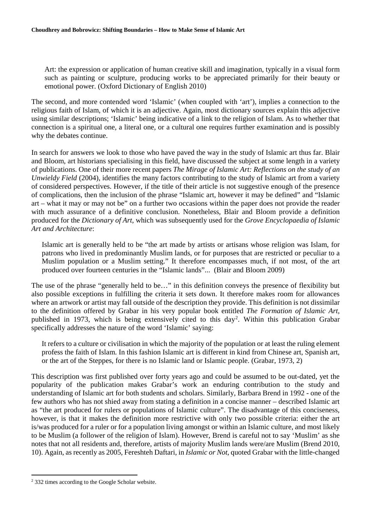Art: the expression or application of human creative skill and imagination, typically in a visual form such as painting or sculpture, producing works to be appreciated primarily for their beauty or emotional power. (Oxford Dictionary of English 2010)

The second, and more contended word 'Islamic' (when coupled with 'art'), implies a connection to the religious faith of Islam, of which it is an adjective. Again, most dictionary sources explain this adjective using similar descriptions; 'Islamic' being indicative of a link to the religion of Islam. As to whether that connection is a spiritual one, a literal one, or a cultural one requires further examination and is possibly why the debates continue.

In search for answers we look to those who have paved the way in the study of Islamic art thus far. Blair and Bloom, art historians specialising in this field, have discussed the subject at some length in a variety of publications. One of their more recent papers *The Mirage of Islamic Art: Reflections on the study of an Unwieldy Field* (2004), identifies the many factors contributing to the study of Islamic art from a variety of considered perspectives. However, if the title of their article is not suggestive enough of the presence of complications, then the inclusion of the phrase "Islamic art, however it may be defined" and "Islamic art – what it may or may not be" on a further two occasions within the paper does not provide the reader with much assurance of a definitive conclusion. Nonetheless, Blair and Bloom provide a definition produced for the *Dictionary of Art*, which was subsequently used for the *Grove Encyclopaedia of Islamic Art and Architecture*:

Islamic art is generally held to be "the art made by artists or artisans whose religion was Islam, for patrons who lived in predominantly Muslim lands, or for purposes that are restricted or peculiar to a Muslim population or a Muslim setting." It therefore encompasses much, if not most, of the art produced over fourteen centuries in the "Islamic lands"... (Blair and Bloom 2009)

The use of the phrase "generally held to be…" in this definition conveys the presence of flexibility but also possible exceptions in fulfilling the criteria it sets down. It therefore makes room for allowances where an artwork or artist may fall outside of the description they provide. This definition is not dissimilar to the definition offered by Grabar in his very popular book entitled *The Formation of Islamic Art*, published in 1973, which is being extensively cited to this day<sup>[2](#page-2-0)</sup>. Within this publication Grabar specifically addresses the nature of the word 'Islamic' saying:

It refers to a culture or civilisation in which the majority of the population or at least the ruling element profess the faith of Islam. In this fashion Islamic art is different in kind from Chinese art, Spanish art, or the art of the Steppes, for there is no Islamic land or Islamic people. (Grabar, 1973, 2)

This description was first published over forty years ago and could be assumed to be out-dated, yet the popularity of the publication makes Grabar's work an enduring contribution to the study and understanding of Islamic art for both students and scholars. Similarly, Barbara Brend in 1992 - one of the few authors who has not shied away from stating a definition in a concise manner – described Islamic art as "the art produced for rulers or populations of Islamic culture". The disadvantage of this conciseness, however, is that it makes the definition more restrictive with only two possible criteria: either the art is/was produced for a ruler or for a population living amongst or within an Islamic culture, and most likely to be Muslim (a follower of the religion of Islam). However, Brend is careful not to say 'Muslim' as she notes that not all residents and, therefore, artists of majority Muslim lands were/are Muslim (Brend 2010, 10). Again, as recently as 2005, Fereshteh Daftari, in *Islamic or Not*, quoted Grabar with the little-changed

 $\overline{a}$ 

<span id="page-3-0"></span><sup>2</sup> 332 times according to the Google Scholar website.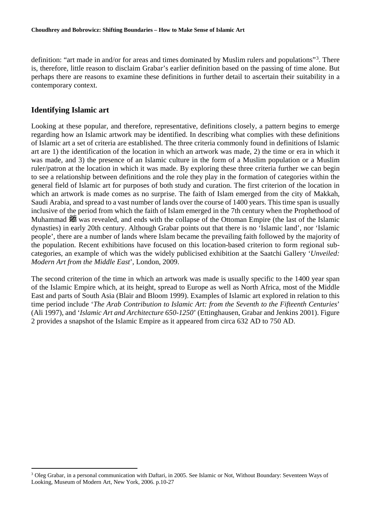definition: "art made in and/or for areas and times dominated by Muslim rulers and populations"<sup>[3](#page-3-0)</sup>. There is, therefore, little reason to disclaim Grabar's earlier definition based on the passing of time alone. But perhaps there are reasons to examine these definitions in further detail to ascertain their suitability in a contemporary context.

#### **Identifying Islamic art**

 $\overline{a}$ 

Looking at these popular, and therefore, representative, definitions closely, a pattern begins to emerge regarding how an Islamic artwork may be identified. In describing what complies with these definitions of Islamic art a set of criteria are established. The three criteria commonly found in definitions of Islamic art are 1) the identification of the location in which an artwork was made, 2) the time or era in which it was made, and 3) the presence of an Islamic culture in the form of a Muslim population or a Muslim ruler/patron at the location in which it was made. By exploring these three criteria further we can begin to see a relationship between definitions and the role they play in the formation of categories within the general field of Islamic art for purposes of both study and curation. The first criterion of the location in which an artwork is made comes as no surprise. The faith of Islam emerged from the city of Makkah, Saudi Arabia, and spread to a vast number of lands over the course of 1400 years. This time span is usually inclusive of the period from which the faith of Islam emerged in the 7th century when the Prophethood of Muhammad 35 was revealed, and ends with the collapse of the Ottoman Empire (the last of the Islamic dynasties) in early 20th century. Although Grabar points out that there is no 'Islamic land', nor 'Islamic people', there are a number of lands where Islam became the prevailing faith followed by the majority of the population. Recent exhibitions have focused on this location-based criterion to form regional subcategories, an example of which was the widely publicised exhibition at the Saatchi Gallery '*Unveiled: Modern Art from the Middle East*', London, 2009.

The second criterion of the time in which an artwork was made is usually specific to the 1400 year span of the Islamic Empire which, at its height, spread to Europe as well as North Africa, most of the Middle East and parts of South Asia (Blair and Bloom 1999). Examples of Islamic art explored in relation to this time period include '*The Arab Contribution to Islamic Art: from the Seventh to the Fifteenth Centuries*' (Ali 1997), and '*Islamic Art and Architecture 650-1250*' (Ettinghausen, Grabar and Jenkins 2001). Figure 2 provides a snapshot of the Islamic Empire as it appeared from circa 632 AD to 750 AD.

<span id="page-4-0"></span><sup>&</sup>lt;sup>3</sup> Oleg Grabar, in a personal communication with Daftari, in 2005. See Islamic or Not, Without Boundary: Seventeen Ways of Looking, Museum of Modern Art, New York, 2006. p.10-27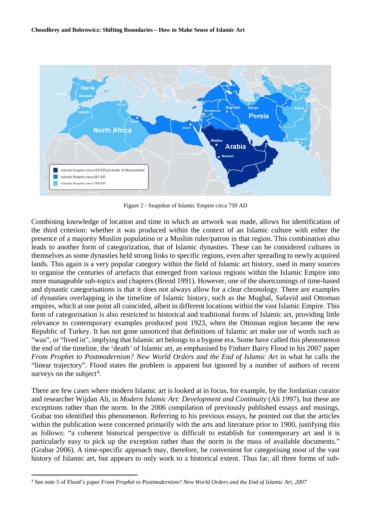

Figure 2 - Snapshot of Islamic Empire circa 750 AD

Combining knowledge of location and time in which an artwork was made, allows for identification of the third criterion: whether it was produced within the context of an Islamic culture with either the presence of a majority Muslim population or a Muslim ruler/patron in that region. This combination also leads to another form of categorization, that of Islamic dynasties. These can be considered cultures in themselves as some dynasties held strong links to specific regions, even after spreading to newly acquired lands. This again is a very popular category within the field of Islamic art history, used in many sources to organise the centuries of artefacts that emerged from various regions within the Islamic Empire into more manageable sub-topics and chapters (Brend 1991). However, one of the shortcomings of time-based and dynastic categorisations is that it does not always allow for a clear chronology. There are examples of dynasties overlapping in the timeline of Islamic history, such as the Mughal, Safavid and Ottoman empires, which at one point all coincided, albeit in different locations within the vast Islamic Empire. This form of categorisation is also restricted to historical and traditional forms of Islamic art, providing little relevance to contemporary examples produced post 1923, when the Ottoman region became the new Republic of Turkey. It has not gone unnoticed that definitions of Islamic art make use of words such as "was", or "lived in", implying that Islamic art belongs to a bygone era. Some have called this phenomenon the end of the timeline, the 'death' of Islamic art, as emphasised by Finbarr Barry Flood in his 2007 paper *From Prophet to Postmodernism? New World Orders and the End of Islamic Art in what he calls the* "linear trajectory". Flood states the problem is apparent but ignored by a number of authors of recent surveys on the subject<sup>[4](#page-4-0)</sup>.

There are few cases where modern Islamic art is looked at in focus, for example, by the Jordanian curator and researcher Wijdan Ali, in *Modern Islamic Art: Development and Continuity* (Ali 1997), but these are exceptions rather than the norm. In the 2006 compilation of previously published essays and musings, Grabar too identified this phenomenon. Referring to his previous essays, he pointed out that the articles within the publication were concerned primarily with the arts and literature prior to 1900, justifying this as follows: "a coherent historical perspective is difficult to establish for contemporary art and it is particularly easy to pick up the exception rather than the norm in the mass of available documents." (Grabar 2006). A time-specific approach may, therefore, be convenient for categorising most of the vast history of Islamic art, but appears to only work to a historical extent. Thus far, all three forms of sub-

 $\overline{a}$ 

<sup>4</sup> See note 5 of Flood's paper *From Prophet to Postmodernism? New World Orders and the End of Islamic Art, 2007*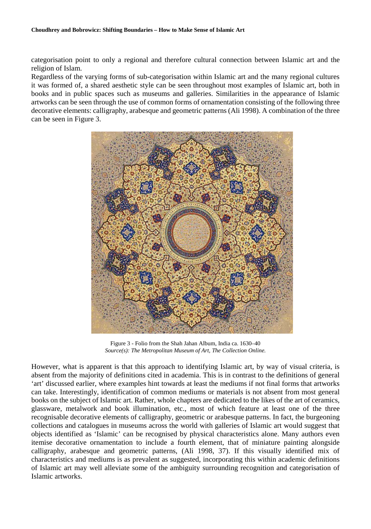categorisation point to only a regional and therefore cultural connection between Islamic art and the religion of Islam.

Regardless of the varying forms of sub-categorisation within Islamic art and the many regional cultures it was formed of, a shared aesthetic style can be seen throughout most examples of Islamic art, both in books and in public spaces such as museums and galleries. Similarities in the appearance of Islamic artworks can be seen through the use of common forms of ornamentation consisting of the following three decorative elements: calligraphy, arabesque and geometric patterns (Ali 1998). A combination of the three can be seen in Figure 3.



Figure 3 - Folio from the Shah Jahan Album, India ca. 1630–40 *Source(s): The Metropolitan Museum of Art, The Collection Online.*

However, what is apparent is that this approach to identifying Islamic art, by way of visual criteria, is absent from the majority of definitions cited in academia. This is in contrast to the definitions of general 'art' discussed earlier, where examples hint towards at least the mediums if not final forms that artworks can take. Interestingly, identification of common mediums or materials is not absent from most general books on the subject of Islamic art. Rather, whole chapters are dedicated to the likes of the art of ceramics, glassware, metalwork and book illumination, etc., most of which feature at least one of the three recognisable decorative elements of calligraphy, geometric or arabesque patterns. In fact, the burgeoning collections and catalogues in museums across the world with galleries of Islamic art would suggest that objects identified as 'Islamic' can be recognised by physical characteristics alone. Many authors even itemise decorative ornamentation to include a fourth element, that of miniature painting alongside calligraphy, arabesque and geometric patterns, (Ali 1998, 37). If this visually identified mix of characteristics and mediums is as prevalent as suggested, incorporating this within academic definitions of Islamic art may well alleviate some of the ambiguity surrounding recognition and categorisation of Islamic artworks.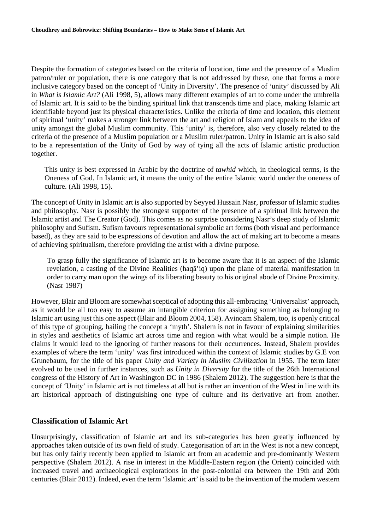Despite the formation of categories based on the criteria of location, time and the presence of a Muslim patron/ruler or population, there is one category that is not addressed by these, one that forms a more inclusive category based on the concept of 'Unity in Diversity'. The presence of 'unity' discussed by Ali in *What is Islamic Art?* (Ali 1998, 5), allows many different examples of art to come under the umbrella of Islamic art. It is said to be the binding spiritual link that transcends time and place, making Islamic art identifiable beyond just its physical characteristics. Unlike the criteria of time and location, this element of spiritual 'unity' makes a stronger link between the art and religion of Islam and appeals to the idea of unity amongst the global Muslim community. This 'unity' is, therefore, also very closely related to the criteria of the presence of a Muslim population or a Muslim ruler/patron. Unity in Islamic art is also said to be a representation of the Unity of God by way of tying all the acts of Islamic artistic production together.

This unity is best expressed in Arabic by the doctrine of *tawhid* which, in theological terms, is the Oneness of God. In Islamic art, it means the unity of the entire Islamic world under the oneness of culture. (Ali 1998, 15).

The concept of Unity in Islamic art is also supported by Seyyed Hussain Nasr, professor of Islamic studies and philosophy. Nasr is possibly the strongest supporter of the presence of a spiritual link between the Islamic artist and The Creator (God). This comes as no surprise considering Nasr's deep study of Islamic philosophy and Sufism. Sufism favours representational symbolic art forms (both visual and performance based), as they are said to be expressions of devotion and allow the act of making art to become a means of achieving spiritualism, therefore providing the artist with a divine purpose.

To grasp fully the significance of Islamic art is to become aware that it is an aspect of the Islamic revelation, a casting of the Divine Realities (haqa'iq) upon the plane of material manifestation in order to carry man upon the wings of its liberating beauty to his original abode of Divine Proximity. (Nasr 1987)

However, Blair and Bloom are somewhat sceptical of adopting this all-embracing 'Universalist' approach, as it would be all too easy to assume an intangible criterion for assigning something as belonging to Islamic art using just this one aspect (Blair and Bloom 2004, 158). Avinoam Shalem, too, is openly critical of this type of grouping, hailing the concept a 'myth'. Shalem is not in favour of explaining similarities in styles and aesthetics of Islamic art across time and region with what would be a simple notion. He claims it would lead to the ignoring of further reasons for their occurrences. Instead, Shalem provides examples of where the term 'unity' was first introduced within the context of Islamic studies by G.E von Grunebaum, for the title of his paper *Unity and Variety in Muslim Civilization* in 1955. The term later evolved to be used in further instances, such as *Unity in Diversity* for the title of the 26th International congress of the History of Art in Washington DC in 1986 (Shalem 2012). The suggestion here is that the concept of 'Unity' in Islamic art is not timeless at all but is rather an invention of the West in line with its art historical approach of distinguishing one type of culture and its derivative art from another.

#### **Classification of Islamic Art**

<span id="page-7-0"></span>Unsurprisingly, classification of Islamic art and its sub-categories has been greatly influenced by approaches taken outside of its own field of study. Categorisation of art in the West is not a new concept, but has only fairly recently been applied to Islamic art from an academic and pre-dominantly Western perspective (Shalem 2012). A rise in interest in the Middle-Eastern region (the Orient) coincided with increased travel and archaeological explorations in the post-colonial era between the 19th and 20th centuries (Blair 2012). Indeed, even the term 'Islamic art' is said to be the invention of the modern western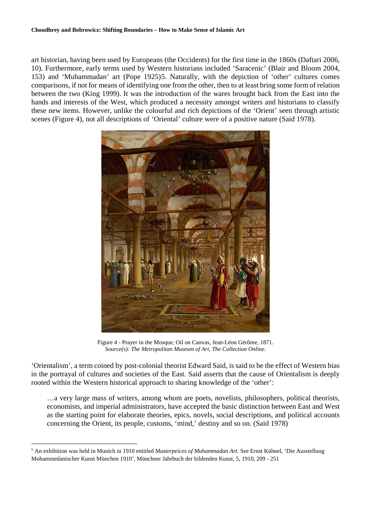art historian, having been used by Europeans (the Occidents) for the first time in the 1860s (Daftari 2006, 10). Furthermore, early terms used by Western historians included 'Saracenic' (Blair and Bloom 2004, 153) and 'Muhammadan' art (Pope 1925)[5](#page-7-0). Naturally, with the depiction of 'other' cultures comes comparisons, if not for means of identifying one from the other, then to at least bring some form of relation between the two (King 1999). It was the introduction of the wares brought back from the East into the hands and interests of the West, which produced a necessity amongst writers and historians to classify these new items. However, unlike the colourful and rich depictions of the 'Orient' seen through artistic scenes (Figure 4), not all descriptions of 'Oriental' culture were of a positive nature (Said 1978).



Figure 4 - Prayer in the Mosque, Oil on Canvas, Jean-Léon Gérôme, 1871. *Source(s): The Metropolitan Museum of Art, The Collection Online.*

'Orientalism', a term coined by post-colonial theorist Edward Said, is said to be the effect of Western bias in the portrayal of cultures and societies of the East. Said asserts that the cause of Orientalism is deeply rooted within the Western historical approach to sharing knowledge of the 'other':

…a very large mass of writers, among whom are poets, novelists, philosophers, political theorists, economists, and imperial administrators, have accepted the basic distinction between East and West as the starting point for elaborate theories, epics, novels, social descriptions, and political accounts concerning the Orient, its people, customs, 'mind,' destiny and so on. (Said 1978)

 $\overline{a}$ 

<sup>5</sup> An exhibition was held in Munich in 1910 entitled *Masterpeices of Muhammadan Art.* See Ernst Kühnel, 'Die Ausstellung Mohammedanischer Kunst München 1910', Münchner Jahrbuch der bildenden Kunst, 5, 1910, 209 - 251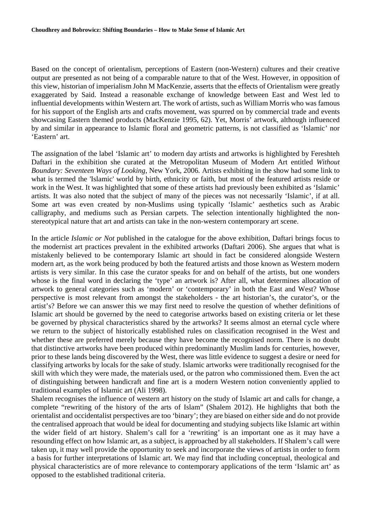Based on the concept of orientalism, perceptions of Eastern (non-Western) cultures and their creative output are presented as not being of a comparable nature to that of the West. However, in opposition of this view, historian of imperialism John M MacKenzie, asserts that the effects of Orientalism were greatly exaggerated by Said. Instead a reasonable exchange of knowledge between East and West led to influential developments within Western art. The work of artists, such as William Morris who was famous for his support of the English arts and crafts movement, was spurred on by commercial trade and events showcasing Eastern themed products (MacKenzie 1995, 62). Yet, Morris' artwork, although influenced by and similar in appearance to Islamic floral and geometric patterns, is not classified as 'Islamic' nor 'Eastern' art.

The assignation of the label 'Islamic art' to modern day artists and artworks is highlighted by Fereshteh Daftari in the exhibition she curated at the Metropolitan Museum of Modern Art entitled *Without Boundary: Seventeen Ways of Looking*, New York, 2006*.* Artists exhibiting in the show had some link to what is termed the 'Islamic' world by birth, ethnicity or faith, but most of the featured artists reside or work in the West. It was highlighted that some of these artists had previously been exhibited as 'Islamic' artists. It was also noted that the subject of many of the pieces was not necessarily 'Islamic', if at all. Some art was even created by non-Muslims using typically 'Islamic' aesthetics such as Arabic calligraphy, and mediums such as Persian carpets. The selection intentionally highlighted the nonstereotypical nature that art and artists can take in the non-western contemporary art scene.

In the article *Islamic or Not* published in the catalogue for the above exhibition, Daftari brings focus to the modernist art practices prevalent in the exhibited artworks (Daftari 2006). She argues that what is mistakenly believed to be contemporary Islamic art should in fact be considered alongside Western modern art, as the work being produced by both the featured artists and those known as Western modern artists is very similar. In this case the curator speaks for and on behalf of the artists, but one wonders whose is the final word in declaring the 'type' an artwork is? After all, what determines allocation of artwork to general categories such as 'modern' or 'contemporary' in both the East and West? Whose perspective is most relevant from amongst the stakeholders - the art historian's, the curator's, or the artist's? Before we can answer this we may first need to resolve the question of whether definitions of Islamic art should be governed by the need to categorise artworks based on existing criteria or let these be governed by physical characteristics shared by the artworks? It seems almost an eternal cycle where we return to the subject of historically established rules on classification recognised in the West and whether these are preferred merely because they have become the recognised norm. There is no doubt that distinctive artworks have been produced within predominantly Muslim lands for centuries, however, prior to these lands being discovered by the West, there was little evidence to suggest a desire or need for classifying artworks by locals for the sake of study. Islamic artworks were traditionally recognised for the skill with which they were made, the materials used, or the patron who commissioned them. Even the act of distinguishing between handicraft and fine art is a modern Western notion conveniently applied to traditional examples of Islamic art (Ali 1998).

Shalem recognises the influence of western art history on the study of Islamic art and calls for change, a complete "rewriting of the history of the arts of Islam" (Shalem 2012). He highlights that both the orientalist and occidentalist perspectives are too 'binary'; they are biased on either side and do not provide the centralised approach that would be ideal for documenting and studying subjects like Islamic art within the wider field of art history. Shalem's call for a 'rewriting' is an important one as it may have a resounding effect on how Islamic art, as a subject, is approached by all stakeholders. If Shalem's call were taken up, it may well provide the opportunity to seek and incorporate the views of artists in order to form a basis for further interpretations of Islamic art. We may find that including conceptual, theological and physical characteristics are of more relevance to contemporary applications of the term 'Islamic art' as opposed to the established traditional criteria.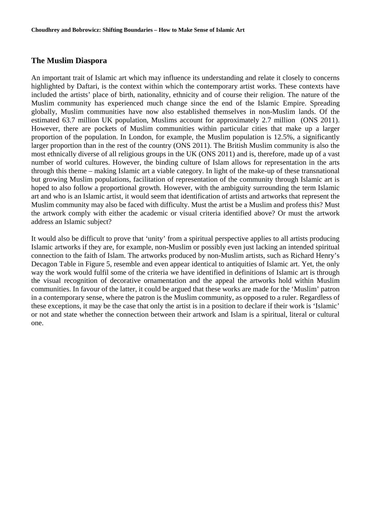#### **The Muslim Diaspora**

An important trait of Islamic art which may influence its understanding and relate it closely to concerns highlighted by Daftari, is the context within which the contemporary artist works. These contexts have included the artists' place of birth, nationality, ethnicity and of course their religion. The nature of the Muslim community has experienced much change since the end of the Islamic Empire. Spreading globally, Muslim communities have now also established themselves in non-Muslim lands. Of the estimated 63.7 million UK population, Muslims account for approximately 2.7 million (ONS 2011). However, there are pockets of Muslim communities within particular cities that make up a larger proportion of the population. In London, for example, the Muslim population is 12.5%, a significantly larger proportion than in the rest of the country (ONS 2011). The British Muslim community is also the most ethnically diverse of all religious groups in the UK (ONS 2011) and is, therefore, made up of a vast number of world cultures. However, the binding culture of Islam allows for representation in the arts through this theme – making Islamic art a viable category. In light of the make-up of these transnational but growing Muslim populations, facilitation of representation of the community through Islamic art is hoped to also follow a proportional growth. However, with the ambiguity surrounding the term Islamic art and who is an Islamic artist, it would seem that identification of artists and artworks that represent the Muslim community may also be faced with difficulty. Must the artist be a Muslim and profess this? Must the artwork comply with either the academic or visual criteria identified above? Or must the artwork address an Islamic subject?

It would also be difficult to prove that 'unity' from a spiritual perspective applies to all artists producing Islamic artworks if they are, for example, non-Muslim or possibly even just lacking an intended spiritual connection to the faith of Islam. The artworks produced by non-Muslim artists, such as Richard Henry's Decagon Table in Figure 5, resemble and even appear identical to antiquities of Islamic art. Yet, the only way the work would fulfil some of the criteria we have identified in definitions of Islamic art is through the visual recognition of decorative ornamentation and the appeal the artworks hold within Muslim communities. In favour of the latter, it could be argued that these works are made for the 'Muslim' patron in a contemporary sense, where the patron is the Muslim community, as opposed to a ruler. Regardless of these exceptions, it may be the case that only the artist is in a position to declare if their work is 'Islamic' or not and state whether the connection between their artwork and Islam is a spiritual, literal or cultural one.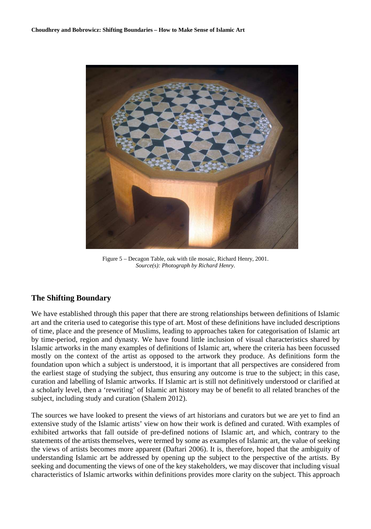

Figure 5 – Decagon Table, oak with tile mosaic, Richard Henry, 2001. *Source(s): Photograph by Richard Henry.* 

#### **The Shifting Boundary**

We have established through this paper that there are strong relationships between definitions of Islamic art and the criteria used to categorise this type of art. Most of these definitions have included descriptions of time, place and the presence of Muslims, leading to approaches taken for categorisation of Islamic art by time-period, region and dynasty. We have found little inclusion of visual characteristics shared by Islamic artworks in the many examples of definitions of Islamic art, where the criteria has been focussed mostly on the context of the artist as opposed to the artwork they produce. As definitions form the foundation upon which a subject is understood, it is important that all perspectives are considered from the earliest stage of studying the subject, thus ensuring any outcome is true to the subject; in this case, curation and labelling of Islamic artworks. If Islamic art is still not definitively understood or clarified at a scholarly level, then a 'rewriting' of Islamic art history may be of benefit to all related branches of the subject, including study and curation (Shalem 2012).

The sources we have looked to present the views of art historians and curators but we are yet to find an extensive study of the Islamic artists' view on how their work is defined and curated. With examples of exhibited artworks that fall outside of pre-defined notions of Islamic art, and which, contrary to the statements of the artists themselves, were termed by some as examples of Islamic art, the value of seeking the views of artists becomes more apparent (Daftari 2006). It is, therefore, hoped that the ambiguity of understanding Islamic art be addressed by opening up the subject to the perspective of the artists. By seeking and documenting the views of one of the key stakeholders, we may discover that including visual characteristics of Islamic artworks within definitions provides more clarity on the subject. This approach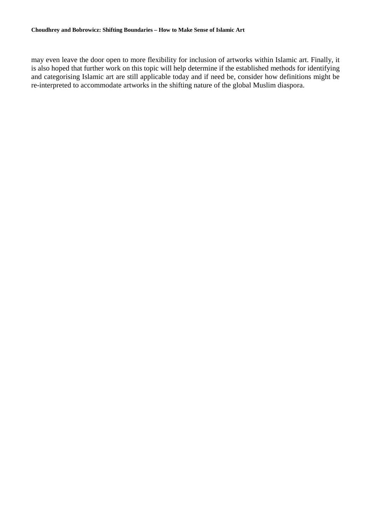may even leave the door open to more flexibility for inclusion of artworks within Islamic art. Finally, it is also hoped that further work on this topic will help determine if the established methods for identifying and categorising Islamic art are still applicable today and if need be, consider how definitions might be re-interpreted to accommodate artworks in the shifting nature of the global Muslim diaspora.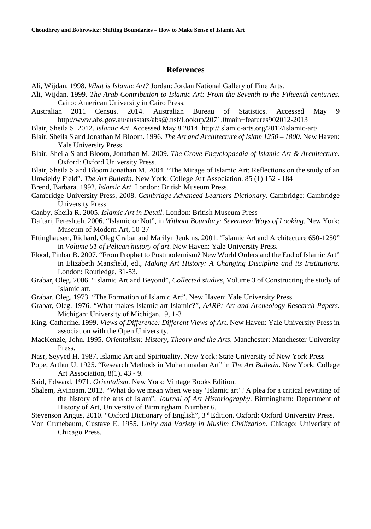#### **References**

Ali, Wijdan. 1998. *What is Islamic Art?* Jordan: Jordan National Gallery of Fine Arts.

- Ali, Wijdan. 1999. *The Arab Contribution to Islamic Art: From the Seventh to the Fifteenth centuries*. Cairo: American University in Cairo Press.
- Australian 2011 Census. 2014. Australian Bureau of Statistics. Accessed May 9 http://www.abs.gov.au/ausstats/abs@.nsf/Lookup/2071.0main+features902012-2013

Blair, Sheila S. 2012. *Islamic Art*. Accessed May 8 2014. http://islamic-arts.org/2012/islamic-art/

- Blair, Sheila S and Jonathan M Bloom. 1996. *The Art and Architecture of Islam 1250 1800*. New Haven: Yale University Press.
- Blair, Sheila S and Bloom, Jonathan M. 2009. *The Grove Encyclopaedia of Islamic Art & Architecture*. Oxford: Oxford University Press.
- Blair, Sheila S and Bloom Jonathan M. 2004. "The Mirage of Islamic Art: Reflections on the study of an Unwieldy Field". *The Art Bulletin*. New York: College Art Association. 85 (1) 152 - 184

Brend, Barbara. 1992. *Islamic Art*. London: British Museum Press.

- Cambridge University Press, 2008. *Cambridge Advanced Learners Dictionary*. Cambridge: Cambridge University Press.
- Canby, Sheila R. 2005. *Islamic Art in Detail*. London: British Museum Press
- Daftari, Fereshteh. 2006. "Islamic or Not", in *Without Boundary: Seventeen Ways of Looking*. New York: Museum of Modern Art, 10-27
- Ettinghausen, Richard, Oleg Grabar and Marilyn Jenkins. 2001. "Islamic Art and Architecture 650-1250" in *Volume 51 of Pelican history of art.* New Haven: Yale University Press.
- Flood, Finbar B. 2007. "From Prophet to Postmodernism? New World Orders and the End of Islamic Art" in Elizabeth Mansfield, ed., *Making Art History: A Changing Discipline and its Institutions*. London: Routledge, 31-53.
- Grabar, Oleg. 2006. "Islamic Art and Beyond", *Collected studies,* Volume 3 of Constructing the study of Islamic art.
- Grabar, Oleg. 1973. "The Formation of Islamic Art". New Haven: Yale University Press.
- Grabar, Oleg. 1976. "What makes Islamic art Islamic?", *AARP: Art and Archeology Research Papers*. Michigan: University of Michigan, 9, 1-3
- King, Catherine. 1999. *Views of Difference: Different Views of Art*. New Haven: Yale University Press in association with the Open University.
- MacKenzie, John. 1995. *Orientalism: History, Theory and the Arts*. Manchester: Manchester University Press.
- Nasr, Seyyed H. 1987. Islamic Art and Spirituality. New York: State University of New York Press
- Pope, Arthur U. 1925. "Research Methods in Muhammadan Art" in *The Art Bulletin*. New York: College Art Association, 8(1). 43 - 9.
- Said, Edward. 1971. *Orientalism*. New York: Vintage Books Edition.
- Shalem, Avinoam. 2012. "What do we mean when we say 'Islamic art'? A plea for a critical rewriting of the history of the arts of Islam", *Journal of Art Historiography*. Birmingham: Department of History of Art, University of Birmingham. Number 6.
- Stevenson Angus, 2010. "Oxford Dictionary of English", 3<sup>rd</sup> Edition. Oxford: Oxford University Press.
- Von Grunebaum, Gustave E. 1955. *Unity and Variety in Muslim Civilization*. Chicago: Univeristy of Chicago Press.